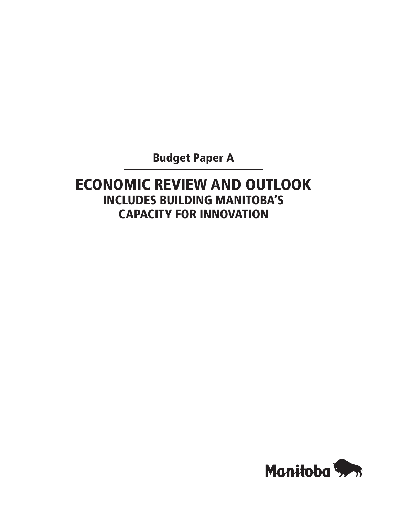Budget Paper A

# Economic Review and Outlook INcludes Building Manitoba's Capacity for Innovation

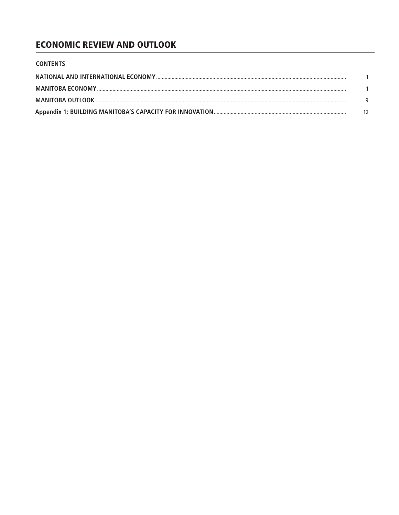# **ECONOMIC REVIEW AND OUTLOOK**

| <b>CONTENTS</b> |  |
|-----------------|--|
|                 |  |
|                 |  |
|                 |  |
|                 |  |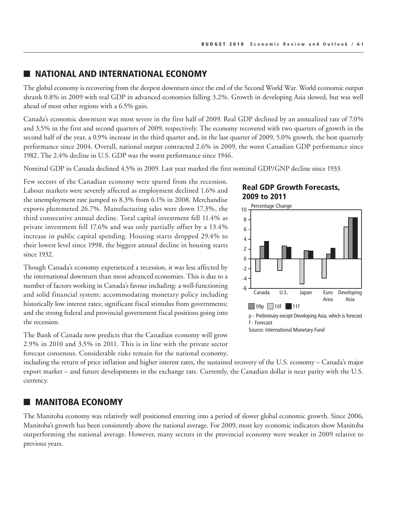### **NATIONAL AND INTERNATIONAL ECONOMY**

The global economy is recovering from the deepest downturn since the end of the Second World War. World economic output shrank 0.8% in 2009 with real GDP in advanced economies falling 3.2%. Growth in developing Asia slowed, but was well ahead of most other regions with a 6.5% gain.

Canada's economic downturn was most severe in the first half of 2009. Real GDP declined by an annualized rate of 7.0% and 3.5% in the first and second quarters of 2009, respectively. The economy recovered with two quarters of growth in the second half of the year, a 0.9% increase in the third quarter and, in the last quarter of 2009, 5.0% growth, the best quarterly performance since 2004. Overall, national output contracted 2.6% in 2009, the worst Canadian GDP performance since 1982. The 2.4% decline in U.S. GDP was the worst performance since 1946.

Nominal GDP in Canada declined 4.5% in 2009. Last year marked the first nominal GDP/GNP decline since 1933.

Few sectors of the Canadian economy were spared from the recession. Labour markets were severely affected as employment declined 1.6% and the unemployment rate jumped to 8.3% from 6.1% in 2008. Merchandise exports plummeted 26.7%. Manufacturing sales were down 17.3%, the third consecutive annual decline. Total capital investment fell 11.4% as private investment fell 17.6% and was only partially offset by a 13.4% increase in public capital spending. Housing starts dropped 29.4% to their lowest level since 1998, the biggest annual decline in housing starts since 1932.

Though Canada's economy experienced a recession, it was less affected by the international downturn than most advanced economies. This is due to a number of factors working in Canada's favour including: a well-functioning and solid financial system; accommodating monetary policy including historically low interest rates; significant fiscal stimulus from governments; and the strong federal and provincial government fiscal positions going into the recession.

The Bank of Canada now predicts that the Canadian economy will grow 2.9% in 2010 and 3.5% in 2011. This is in line with the private sector forecast consensus. Considerable risks remain for the national economy, Real GDP Growth Forecasts, 2009 to 2011



Source: International Monetary Fund

including the return of price inflation and higher interest rates, the sustained recovery of the U.S. economy – Canada's major export market – and future developments in the exchange rate. Currently, the Canadian dollar is near parity with the U.S. currency.

### **MANITOBA ECONOMY**

The Manitoba economy was relatively well positioned entering into a period of slower global economic growth. Since 2006, Manitoba's growth has been consistently above the national average. For 2009, most key economic indicators show Manitoba outperforming the national average. However, many sectors in the provincial economy were weaker in 2009 relative to previous years.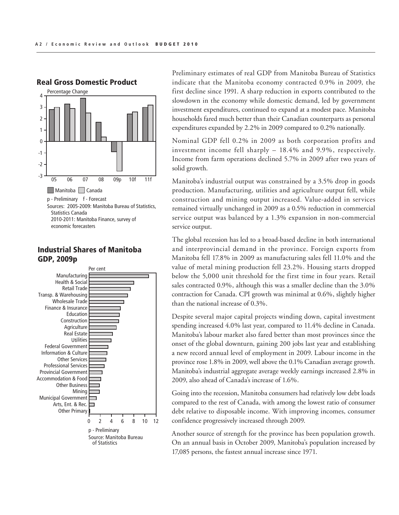

# Real Gross Domestic Product

#### Industrial Shares of Manitoba GDP, 2009p File: B\_MB\_1\_Real\_GDP\_10.ai P, ZUU9p



Preliminary estimates of real GDP from Manitoba Bureau of Statistics indicate that the Manitoba economy contracted 0.9% in 2009, the first decline since 1991. A sharp reduction in exports contributed to the slowdown in the economy while domestic demand, led by government investment expenditures, continued to expand at a modest pace. Manitoba households fared much better than their Canadian counterparts as personal expenditures expanded by 2.2% in 2009 compared to 0.2% nationally.

Nominal GDP fell 0.2% in 2009 as both corporation profits and investment income fell sharply – 18.4% and 9.9%, respectively. Income from farm operations declined 5.7% in 2009 after two years of solid growth.

Manitoba's industrial output was constrained by a 3.5% drop in goods production. Manufacturing, utilities and agriculture output fell, while construction and mining output increased. Value-added in services remained virtually unchanged in 2009 as a 0.5% reduction in commercial service output was balanced by a 1.3% expansion in non-commercial service output.

The global recession has led to a broad-based decline in both international and interprovincial demand in the province. Foreign exports from Manitoba fell 17.8% in 2009 as manufacturing sales fell 11.0% and the value of metal mining production fell 23.2%. Housing starts dropped below the 5,000 unit threshold for the first time in four years. Retail sales contracted 0.9%, although this was a smaller decline than the 3.0% contraction for Canada. CPI growth was minimal at 0.6%, slightly higher than the national increase of 0.3%.

Despite several major capital projects winding down, capital investment spending increased 4.0% last year, compared to 11.4% decline in Canada. Manitoba's labour market also fared better than most provinces since the onset of the global downturn, gaining 200 jobs last year and establishing a new record annual level of employment in 2009. Labour income in the province rose 1.8% in 2009, well above the 0.1% Canadian average growth. Manitoba's industrial aggregate average weekly earnings increased 2.8% in 2009, also ahead of Canada's increase of 1.6%.

Going into the recession, Manitoba consumers had relatively low debt loads compared to the rest of Canada, with among the lowest ratio of consumer debt relative to disposable income. With improving incomes, consumer confidence progressively increased through 2009.

Another source of strength for the province has been population growth. On an annual basis in October 2009, Manitoba's population increased by 17,085 persons, the fastest annual increase since 1971.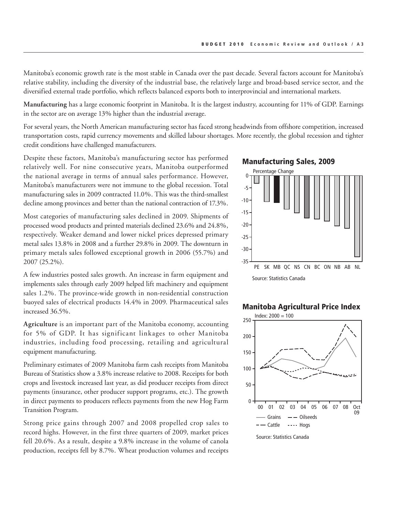Manitoba's economic growth rate is the most stable in Canada over the past decade. Several factors account for Manitoba's relative stability, including the diversity of the industrial base, the relatively large and broad-based service sector, and the diversified external trade portfolio, which reflects balanced exports both to interprovincial and international markets.

**Manufacturing** has a large economic footprint in Manitoba. It is the largest industry, accounting for 11% of GDP. Earnings in the sector are on average 13% higher than the industrial average.

For several years, the North American manufacturing sector has faced strong headwinds from offshore competition, increased transportation costs, rapid currency movements and skilled labour shortages. More recently, the global recession and tighter credit conditions have challenged manufacturers.

Despite these factors, Manitoba's manufacturing sector has performed relatively well. For nine consecutive years, Manitoba outperformed the national average in terms of annual sales performance. However, Manitoba's manufacturers were not immune to the global recession. Total manufacturing sales in 2009 contracted 11.0%. This was the third-smallest decline among provinces and better than the national contraction of 17.3%.

Most categories of manufacturing sales declined in 2009. Shipments of processed wood products and printed materials declined 23.6% and 24.8%, respectively. Weaker demand and lower nickel prices depressed primary metal sales 13.8% in 2008 and a further 29.8% in 2009. The downturn in primary metals sales followed exceptional growth in 2006 (55.7%) and 2007 (25.2%).

A few industries posted sales growth. An increase in farm equipment and implements sales through early 2009 helped lift machinery and equipment sales 1.2%. The province-wide growth in non-residential construction buoyed sales of electrical products 14.4% in 2009. Pharmaceutical sales increased 36.5%.

**Agriculture** is an important part of the Manitoba economy, accounting for 5% of GDP. It has significant linkages to other Manitoba industries, including food processing, retailing and agricultural equipment manufacturing.

Preliminary estimates of 2009 Manitoba farm cash receipts from Manitoba Bureau of Statistics show a 3.8% increase relative to 2008. Receipts for both crops and livestock increased last year, as did producer receipts from direct payments (insurance, other producer support programs, etc.). The growth in direct payments to producers reflects payments from the new Hog Farm Transition Program.

Strong price gains through 2007 and 2008 propelled crop sales to record highs. However, in the first three quarters of 2009, market prices fell 20.6%. As a result, despite a 9.8% increase in the volume of canola production, receipts fell by 8.7%. Wheat production volumes and receipts

#### Manufacturing Sales, 2009



Source: Statistics Canada

### Manitoba Agricultural Price Index

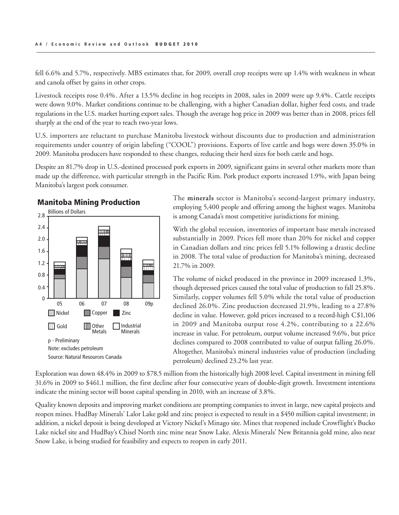fell 6.6% and 5.7%, respectively. MBS estimates that, for 2009, overall crop receipts were up 1.4% with weakness in wheat and canola offset by gains in other crops.

Livestock receipts rose 0.4%. After a 13.5% decline in hog receipts in 2008, sales in 2009 were up 9.4%. Cattle receipts were down 9.0%. Market conditions continue to be challenging, with a higher Canadian dollar, higher feed costs, and trade regulations in the U.S. market hurting export sales. Though the average hog price in 2009 was better than in 2008, prices fell sharply at the end of the year to reach two-year lows.

U.S. importers are reluctant to purchase Manitoba livestock without discounts due to production and administration requirements under country of origin labeling ("COOL") provisions. Exports of live cattle and hogs were down 35.0% in 2009. Manitoba producers have responded to these changes, reducing their herd sizes for both cattle and hogs.

Despite an 81.7% drop in U.S.-destined processed pork exports in 2009, significant gains in several other markets more than made up the difference, with particular strength in the Pacific Rim. Pork product exports increased 1.9%, with Japan being Manitoba's largest pork consumer.



Manitoba Mining Production

The **minerals** sector is Manitoba's second-largest primary industry, employing 5,400 people and offering among the highest wages. Manitoba is among Canada's most competitive jurisdictions for mining.

With the global recession, inventories of important base metals increased substantially in 2009. Prices fell more than 20% for nickel and copper in Canadian dollars and zinc prices fell 5.1% following a drastic decline in 2008. The total value of production for Manitoba's mining, decreased 21.7% in 2009.

The volume of nickel produced in the province in 2009 increased 1.3%, though depressed prices caused the total value of production to fall 25.8%. Similarly, copper volumes fell 5.0% while the total value of production declined 26.0%. Zinc production decreased 21.9%, leading to a 27.8% decline in value. However, gold prices increased to a record-high C\$1,106 in 2009 and Manitoba output rose 4.2%, contributing to a 22.6% increase in value. For petroleum, output volume increased 9.6%, but price declines compared to 2008 contributed to value of output falling 26.0%. Altogether, Manitoba's mineral industries value of production (including petroleum) declined 23.2% last year.

Exploration was down 48.4% in 2009 to \$78.5 million from the historically high 2008 level. Capital investment in mining fell 31.6% in 2009 to \$461.1 million, the first decline after four consecutive years of double-digit growth. Investment intentions indicate the mining sector will boost capital spending in 2010, with an increase of 3.8%.

Quality known deposits and improving market conditions are prompting companies to invest in large, new capital projects and reopen mines. HudBay Minerals' Lalor Lake gold and zinc project is expected to result in a \$450 million capital investment; in addition, a nickel deposit is being developed at Victory Nickel's Minago site. Mines that reopened include Crowflight's Bucko Lake nickel site and HudBay's Chisel North zinc mine near Snow Lake. Alexis Minerals' New Britannia gold mine, also near Snow Lake, is being studied for feasibility and expects to reopen in early 2011. mines. Frugday *Wine*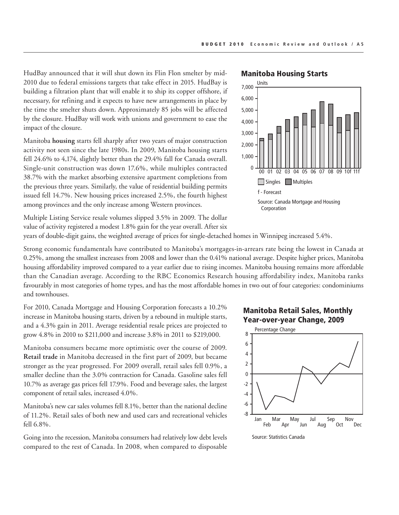HudBay announced that it will shut down its Flin Flon smelter by mid-2010 due to federal emissions targets that take effect in 2015. HudBay is building a filtration plant that will enable it to ship its copper offshore, if necessary, for refining and it expects to have new arrangements in place by the time the smelter shuts down. Approximately 85 jobs will be affected by the closure. HudBay will work with unions and government to ease the impact of the closure.

Manitoba **housing** starts fell sharply after two years of major construction activity not seen since the late 1980s. In 2009, Manitoba housing starts fell 24.6% to 4,174, slightly better than the 29.4% fall for Canada overall. Single-unit construction was down 17.6%, while multiples contracted 38.7% with the market absorbing extensive apartment completions from the previous three years. Similarly, the value of residential building permits issued fell 14.7%. New housing prices increased 2.5%, the fourth highest among provinces and the only increase among Western provinces.

Multiple Listing Service resale volumes slipped 3.5% in 2009. The dollar value of activity registered a modest 1.8% gain for the year overall. After six

### Manitoba Housing Starts



years of double-digit gains, the weighted average of prices for single-detached homes in Winnipeg increased 5.4%.

Strong economic fundamentals have contributed to Manitoba's mortgages-in-arrears rate being the lowest in Canada at 0.25%, among the smallest increases from 2008 and lower than the 0.41% national average. Despite higher prices, Manitoba housing affordability improved compared to a year earlier due to rising incomes. Manitoba housing remains more affordable than the Canadian average. According to the RBC Economics Research housing affordability index, Manitoba ranks favourably in most categories of home types, and has the most affordable homes in two out of four categories: condominiums and townhouses.

For 2010, Canada Mortgage and Housing Corporation forecasts a 10.2% increase in Manitoba housing starts, driven by a rebound in multiple starts, and a 4.3% gain in 2011. Average residential resale prices are projected to grow 4.8% in 2010 to \$211,000 and increase 3.8% in 2011 to \$219,000.

Manitoba consumers became more optimistic over the course of 2009. **Retail trade** in Manitoba decreased in the first part of 2009, but became stronger as the year progressed. For 2009 overall, retail sales fell 0.9%, a smaller decline than the 3.0% contraction for Canada. Gasoline sales fell 10.7% as average gas prices fell 17.9%. Food and beverage sales, the largest component of retail sales, increased 4.0%.

Manitoba's new car sales volumes fell 8.1%, better than the national decline of 11.2%. Retail sales of both new and used cars and recreational vehicles fell 6.8%.

Going into the recession, Manitoba consumers had relatively low debt levels compared to the rest of Canada. In 2008, when compared to disposable

Manitoba Retail Sales, Monthly Year-over-year Change, 2009

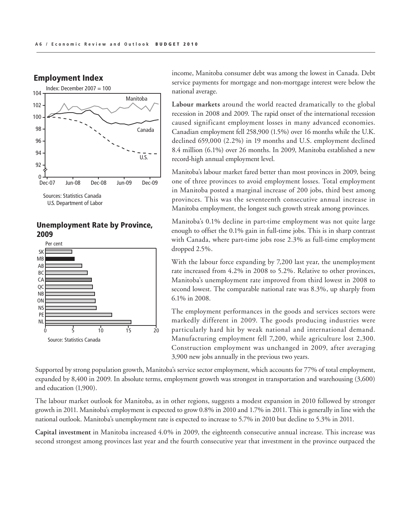

### Employment Index

### Unemployment Rate by Province, 2009



income, Manitoba consumer debt was among the lowest in Canada. Debt service payments for mortgage and non-mortgage interest were below the national average.

**Labour markets** around the world reacted dramatically to the global recession in 2008 and 2009. The rapid onset of the international recession caused significant employment losses in many advanced economies. Canadian employment fell 258,900 (1.5%) over 16 months while the U.K. declined 659,000 (2.2%) in 19 months and U.S. employment declined 8.4 million (6.1%) over 26 months. In 2009, Manitoba established a new record-high annual employment level.

Manitoba's labour market fared better than most provinces in 2009, being one of three provinces to avoid employment losses. Total employment in Manitoba posted a marginal increase of 200 jobs, third best among provinces. This was the seventeenth consecutive annual increase in Manitoba employment, the longest such growth streak among provinces.

Manitoba's 0.1% decline in part-time employment was not quite large enough to offset the 0.1% gain in full-time jobs. This is in sharp contrast with Canada, where part-time jobs rose 2.3% as full-time employment dropped 2.5%.

With the labour force expanding by 7,200 last year, the unemployment rate increased from 4.2% in 2008 to 5.2%. Relative to other provinces, Manitoba's unemployment rate improved from third lowest in 2008 to second lowest. The comparable national rate was 8.3%, up sharply from 6.1% in 2008.

The employment performances in the goods and services sectors were markedly different in 2009. The goods producing industries were particularly hard hit by weak national and international demand. Manufacturing employment fell 7,200, while agriculture lost 2,300. Construction employment was unchanged in 2009, after averaging 3,900 new jobs annually in the previous two years.

Supported by strong population growth, Manitoba's service sector employment, which accounts for 77% of total employment, expanded by 8,400 in 2009. In absolute terms, employment growth was strongest in transportation and warehousing (3,600) and education (1,900).

The labour market outlook for Manitoba, as in other regions, suggests a modest expansion in 2010 followed by stronger growth in 2011. Manitoba's employment is expected to grow 0.8% in 2010 and 1.7% in 2011. This is generally in line with the national outlook. Manitoba's unemployment rate is expected to increase to 5.7% in 2010 but decline to 5.3% in 2011.  $\frac{1}{2}$  March 2011, *March 2010* 

Capital investment in Manitoba increased 4.0% in 2009, the eighteenth consecutive annual increase. This increase was second strongest among provinces last year and the fourth consecutive year that investment in the province outpaced the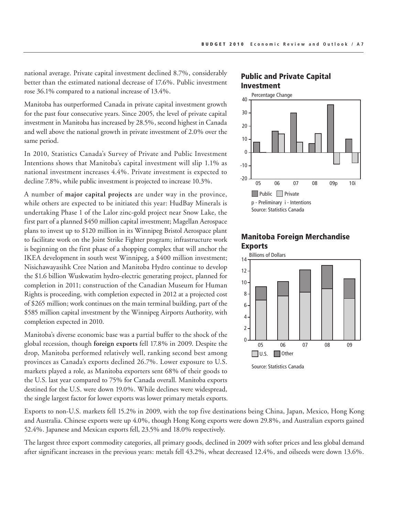national average. Private capital investment declined 8.7%, considerably better than the estimated national decrease of 17.6%. Public investment rose 36.1% compared to a national increase of 13.4%.

Manitoba has outperformed Canada in private capital investment growth for the past four consecutive years. Since 2005, the level of private capital investment in Manitoba has increased by 28.5%, second highest in Canada and well above the national growth in private investment of 2.0% over the same period.

In 2010, Statistics Canada's Survey of Private and Public Investment Intentions shows that Manitoba's capital investment will slip 1.1% as national investment increases 4.4%. Private investment is expected to decline 7.8%, while public investment is projected to increase 10.3%.

A number of **major capital projects** are under way in the province, while others are expected to be initiated this year: HudBay Minerals is undertaking Phase 1 of the Lalor zinc-gold project near Snow Lake, the first part of a planned \$450 million capital investment; Magellan Aerospace plans to invest up to \$120 million in its Winnipeg Bristol Aerospace plant to facilitate work on the Joint Strike Fighter program; infrastructure work is beginning on the first phase of a shopping complex that will anchor the IKEA development in south west Winnipeg, a \$400 million investment; Nisichawayasihk Cree Nation and Manitoba Hydro continue to develop the \$1.6 billion Wuskwatim hydro-electric generating project, planned for completion in 2011; construction of the Canadian Museum for Human Rights is proceeding, with completion expected in 2012 at a projected cost of \$265 million; work continues on the main terminal building, part of the \$585 million capital investment by the Winnipeg Airports Authority, with completion expected in 2010.

Manitoba's diverse economic base was a partial buffer to the shock of the global recession, though **foreign exports** fell 17.8% in 2009. Despite the drop, Manitoba performed relatively well, ranking second best among provinces as Canada's exports declined 26.7%. Lower exposure to U.S. markets played a role, as Manitoba exporters sent 68% of their goods to the U.S. last year compared to 75% for Canada overall. Manitoba exports destined for the U.S. were down 19.0%. While declines were widespread, the single largest factor for lower exports was lower primary metals exports.

Exports to non-U.S. markets fell 15.2% in 2009, with the top five destinations being China, Japan, Mexico, Hong Kong and Australia. Chinese exports were up 4.0%, though Hong Kong exports were down 29.8%, and Australian exports gained 52.4%. Japanese and Mexican exports fell, 23.5% and 18.0% respectively.

The largest three export commodity categories, all primary goods, declined in 2009 with softer prices and less global demand after significant increases in the previous years: metals fell 43.2%, wheat decreased 12.4%, and oilseeds were down 13.6%.  $\mathbb{R}^{n \times n \times n}$ 

### Public and Private Capital Investment





### Manitoba Foreign Merchandise Exports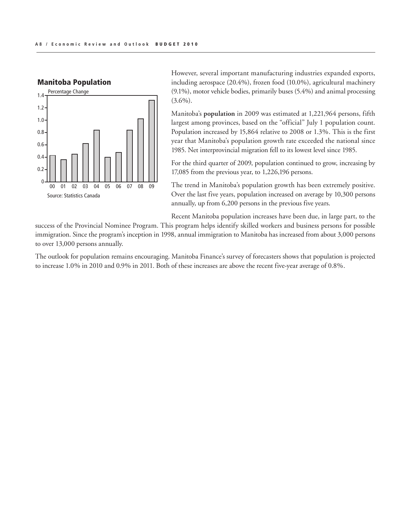

Manitoba Population

However, several important manufacturing industries expanded exports, including aerospace (20.4%), frozen food (10.0%), agricultural machinery (9.1%), motor vehicle bodies, primarily buses (5.4%) and animal processing  $(3.6\%)$ .

Manitoba's **population** in 2009 was estimated at 1,221,964 persons, fifth largest among provinces, based on the "official" July 1 population count. Population increased by 15,864 relative to 2008 or 1.3%. This is the first year that Manitoba's population growth rate exceeded the national since 1985. Net interprovincial migration fell to its lowest level since 1985.

For the third quarter of 2009, population continued to grow, increasing by 17,085 from the previous year, to 1,226,196 persons.

The trend in Manitoba's population growth has been extremely positive. Over the last five years, population increased on average by 10,300 persons annually, up from 6,200 persons in the previous five years.

Recent Manitoba population increases have been due, in large part, to the

success of the Provincial Nominee Program. This program helps identify skilled workers and business persons for possible immigration. Since the program's inception in 1998, annual immigration to Manitoba has increased from about 3,000 persons to over 13,000 persons annually.

The outlook for population remains encouraging. Manitoba Finance's survey of forecasters shows that population is projected to increase 1.0% in 2010 and 0.9% in 2011. Both of these increases are above the recent five-year average of 0.8%. rease i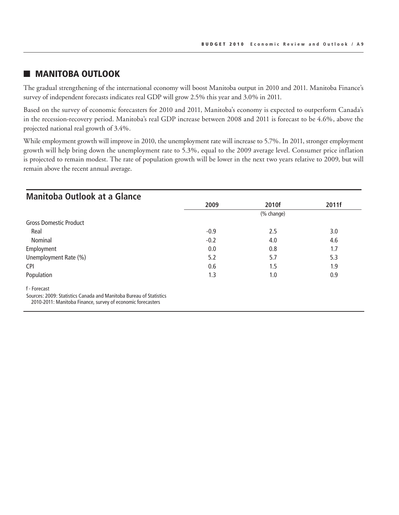### **NANITOBA OUTLOOK**

The gradual strengthening of the international economy will boost Manitoba output in 2010 and 2011. Manitoba Finance's survey of independent forecasts indicates real GDP will grow 2.5% this year and 3.0% in 2011.

Based on the survey of economic forecasters for 2010 and 2011, Manitoba's economy is expected to outperform Canada's in the recession-recovery period. Manitoba's real GDP increase between 2008 and 2011 is forecast to be 4.6%, above the projected national real growth of 3.4%.

While employment growth will improve in 2010, the unemployment rate will increase to 5.7%. In 2011, stronger employment growth will help bring down the unemployment rate to 5.3%, equal to the 2009 average level. Consumer price inflation is projected to remain modest. The rate of population growth will be lower in the next two years relative to 2009, but will remain above the recent annual average.

| 2009       | 2010f | 2011f |  |
|------------|-------|-------|--|
|            |       |       |  |
| (% change) |       |       |  |
|            |       |       |  |
| $-0.9$     | 2.5   | 3.0   |  |
| $-0.2$     | 4.0   | 4.6   |  |
| 0.0        | 0.8   | 1.7   |  |
| 5.2        | 5.7   | 5.3   |  |
| 0.6        | 1.5   | 1.9   |  |
| 1.3        | 1.0   | 0.9   |  |
|            |       |       |  |
|            |       |       |  |
|            |       |       |  |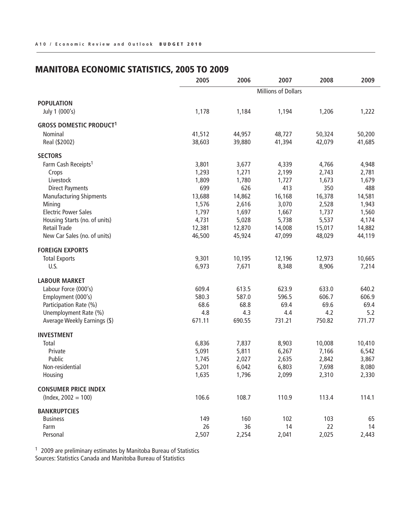# Manitoba Economic Statistics, 2005 to 2009

|                                 | 2005   | 2006                       | 2007   | 2008   | 2009   |
|---------------------------------|--------|----------------------------|--------|--------|--------|
|                                 |        | <b>Millions of Dollars</b> |        |        |        |
| <b>POPULATION</b>               |        |                            |        |        |        |
| July 1 (000's)                  | 1,178  | 1,184                      | 1,194  | 1,206  | 1,222  |
| <b>GROSS DOMESTIC PRODUCT1</b>  |        |                            |        |        |        |
| Nominal                         | 41,512 | 44,957                     | 48,727 | 50,324 | 50,200 |
| Real (\$2002)                   | 38,603 | 39,880                     | 41,394 | 42,079 | 41,685 |
| <b>SECTORS</b>                  |        |                            |        |        |        |
| Farm Cash Receipts <sup>1</sup> | 3,801  | 3,677                      | 4,339  | 4,766  | 4,948  |
| Crops                           | 1,293  | 1,271                      | 2,199  | 2,743  | 2,781  |
| Livestock                       | 1,809  | 1,780                      | 1,727  | 1,673  | 1,679  |
| <b>Direct Payments</b>          | 699    | 626                        | 413    | 350    | 488    |
| <b>Manufacturing Shipments</b>  | 13,688 | 14,862                     | 16,168 | 16,378 | 14,581 |
| Mining                          | 1,576  | 2,616                      | 3,070  | 2,528  | 1,943  |
| <b>Electric Power Sales</b>     | 1,797  | 1,697                      | 1,667  | 1,737  | 1,560  |
| Housing Starts (no. of units)   | 4,731  | 5,028                      | 5,738  | 5,537  | 4,174  |
| <b>Retail Trade</b>             | 12,381 | 12,870                     | 14,008 | 15,017 | 14,882 |
| New Car Sales (no. of units)    | 46,500 | 45,924                     | 47,099 | 48,029 | 44,119 |
| <b>FOREIGN EXPORTS</b>          |        |                            |        |        |        |
| <b>Total Exports</b>            | 9,301  | 10,195                     | 12,196 | 12,973 | 10,665 |
| U.S.                            | 6,973  | 7,671                      | 8,348  | 8,906  | 7,214  |
| <b>LABOUR MARKET</b>            |        |                            |        |        |        |
| Labour Force (000's)            | 609.4  | 613.5                      | 623.9  | 633.0  | 640.2  |
| Employment (000's)              | 580.3  | 587.0                      | 596.5  | 606.7  | 606.9  |
| Participation Rate (%)          | 68.6   | 68.8                       | 69.4   | 69.6   | 69.4   |
| Unemployment Rate (%)           | 4.8    | 4.3                        | 4.4    | 4.2    | 5.2    |
| Average Weekly Earnings (\$)    | 671.11 | 690.55                     | 731.21 | 750.82 | 771.77 |
| <b>INVESTMENT</b>               |        |                            |        |        |        |
| Total                           | 6,836  | 7,837                      | 8,903  | 10,008 | 10,410 |
| Private                         | 5,091  | 5,811                      | 6,267  | 7,166  | 6,542  |
| Public                          | 1,745  | 2,027                      | 2,635  | 2,842  | 3,867  |
| Non-residential                 | 5,201  | 6,042                      | 6,803  | 7,698  | 8,080  |
| Housing                         | 1,635  | 1,796                      | 2,099  | 2,310  | 2,330  |
| <b>CONSUMER PRICE INDEX</b>     |        |                            |        |        |        |
| $(hdex, 2002 = 100)$            | 106.6  | 108.7                      | 110.9  | 113.4  | 114.1  |
| <b>BANKRUPTCIES</b>             |        |                            |        |        |        |
| <b>Business</b>                 | 149    | 160                        | 102    | 103    | 65     |
| Farm                            | 26     | 36                         | 14     | 22     | 14     |
| Personal                        | 2,507  | 2,254                      | 2,041  | 2,025  | 2,443  |

<sup>1</sup> 2009 are preliminary estimates by Manitoba Bureau of Statistics Sources: Statistics Canada and Manitoba Bureau of Statistics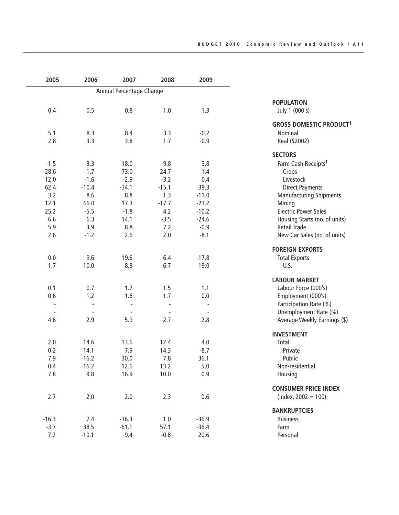| 2005                     | 2006    | 2007                     | 2008    | 2009    |                                 |
|--------------------------|---------|--------------------------|---------|---------|---------------------------------|
|                          |         | Annual Percentage Change |         |         |                                 |
|                          |         |                          |         |         | <b>POPULATION</b>               |
| 0.4                      | 0.5     | 0.8                      | 1.0     | 1.3     | July 1 (000's)                  |
|                          |         |                          |         |         | <b>GROSS DOMESTIC PRODUCT1</b>  |
| 5.1                      | 8.3     | 8.4                      | 3.3     | $-0.2$  | Nominal                         |
| 2.8                      | 3.3     | 3.8                      | 1.7     | $-0.9$  | Real (\$2002)                   |
|                          |         |                          |         |         | <b>SECTORS</b>                  |
| $-1.5$                   | $-3.3$  | 18.0                     | 9.8     | 3.8     | Farm Cash Receipts <sup>1</sup> |
| $-28.6$                  | $-1.7$  | 73.0                     | 24.7    | 1.4     | Crops                           |
| 12.0                     | $-1.6$  | $-2.9$                   | $-3.2$  | 0.4     | Livestock                       |
| 62.4                     | $-10.4$ | $-34.1$                  | $-15.1$ | 39.3    | <b>Direct Payments</b>          |
| 3.2                      | 8.6     | 8.8                      | 1.3     | $-11.0$ | <b>Manufacturing Shipments</b>  |
| 12.1                     | 66.0    | 17.3                     | $-17.7$ | $-23.2$ | Mining                          |
| 25.2                     | $-5.5$  | $-1.8$                   | 4.2     | $-10.2$ | <b>Electric Power Sales</b>     |
| 6.6                      | 6.3     | 14.1                     | $-3.5$  | $-24.6$ | Housing Starts (no. of units)   |
| 5.9                      | 3.9     | 8.8                      | 7.2     | $-0.9$  | <b>Retail Trade</b>             |
| 2.6                      | $-1.2$  | 2.6                      | 2.0     | $-8.1$  | New Car Sales (no. of units)    |
|                          |         |                          |         |         | <b>FOREIGN EXPORTS</b>          |
| 0.0                      | 9.6     | 19.6                     | 6.4     | $-17.8$ | <b>Total Exports</b>            |
| 1.7                      | 10.0    | 8.8                      | 6.7     | $-19.0$ | U.S.                            |
|                          |         |                          |         |         | <b>LABOUR MARKET</b>            |
| 0.1                      | 0.7     | 1.7                      | 1.5     | 1.1     | Labour Force (000's)            |
| 0.6                      | 1.2     | 1.6                      | 1.7     | 0.0     | Employment (000's)              |
| $\overline{\phantom{a}}$ |         |                          | ÷,      |         | Participation Rate (%)          |
| $\blacksquare$           |         |                          |         |         | Unemployment Rate (%)           |
| 4.6                      | 2.9     | 5.9                      | 2.7     | 2.8     | Average Weekly Earnings (\$)    |
|                          |         |                          |         |         | <b>INVESTMENT</b>               |
| 2.0                      | 14.6    | 13.6                     | 12.4    | 4.0     | Total                           |
| 0.2                      | 14.1    | 7.9                      | 14.3    | $-8.7$  | Private                         |
| 7.9                      | 16.2    | 30.0                     | 7.8     | 36.1    | Public                          |
| 0.4                      | 16.2    | 12.6                     | 13.2    | 5.0     | Non-residential                 |
| 7.8                      | 9.8     | 16.9                     | 10.0    | 0.9     | Housing                         |
|                          |         |                          |         |         | <b>CONSUMER PRICE INDEX</b>     |
| 2.7                      | 2.0     | 2.0                      | 2.3     | 0.6     | $(hdev, 2002 = 100)$            |
|                          |         |                          |         |         | <b>BANKRUPTCIES</b>             |
| $-16.3$                  | 7.4     | $-36.3$                  | 1.0     | $-36.9$ | <b>Business</b>                 |
| $-3.7$                   | 38.5    | $-61.1$                  | 57.1    | $-36.4$ | Farm                            |
| 7.2                      | $-10.1$ | $-9.4$                   | $-0.8$  | 20.6    | Personal                        |
|                          |         |                          |         |         |                                 |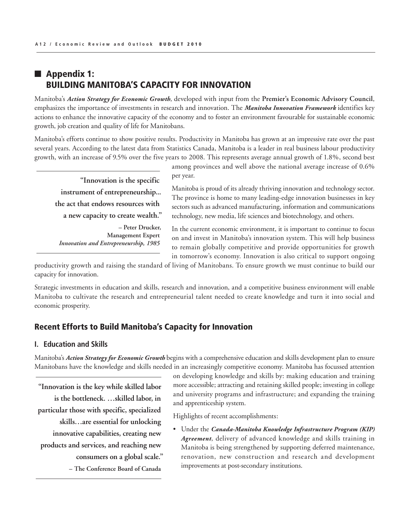## $\blacksquare$  Appendix 1: Building Manitoba's Capacity for Innovation

Manitoba's *Action Strategy for Economic Growth*, developed with input from the **Premier's Economic Advisory Council**, emphasizes the importance of investments in research and innovation. The *Manitoba Innovation Framework* identifies key actions to enhance the innovative capacity of the economy and to foster an environment favourable for sustainable economic growth, job creation and quality of life for Manitobans.

Manitoba's efforts continue to show positive results. Productivity in Manitoba has grown at an impressive rate over the past several years. According to the latest data from Statistics Canada, Manitoba is a leader in real business labour productivity growth, with an increase of 9.5% over the five years to 2008. This represents average annual growth of 1.8%, second best

**"Innovation is the specific instrument of entrepreneurship... the act that endows resources with a new capacity to create wealth."**

**– Peter Drucker, Management Expert** *Innovation and Entrepreneurship, 1985*

among provinces and well above the national average increase of 0.6% per year.

Manitoba is proud of its already thriving innovation and technology sector. The province is home to many leading-edge innovation businesses in key sectors such as advanced manufacturing, information and communications technology, new media, life sciences and biotechnology, and others.

In the current economic environment, it is important to continue to focus on and invest in Manitoba's innovation system. This will help business to remain globally competitive and provide opportunities for growth in tomorrow's economy. Innovation is also critical to support ongoing

productivity growth and raising the standard of living of Manitobans. To ensure growth we must continue to build our capacity for innovation.

Strategic investments in education and skills, research and innovation, and a competitive business environment will enable Manitoba to cultivate the research and entrepreneurial talent needed to create knowledge and turn it into social and economic prosperity.

### Recent Efforts to Build Manitoba's Capacity for Innovation

### **I. Education and Skills**

Manitoba's *Action Strategy for Economic Growth* begins with a comprehensive education and skills development plan to ensure Manitobans have the knowledge and skills needed in an increasingly competitive economy. Manitoba has focussed attention

**"Innovation is the key while skilled labor is the bottleneck. …skilled labor, in particular those with specific, specialized skills…are essential for unlocking innovative capabilities, creating new products and services, and reaching new consumers on a global scale."**

**– The Conference Board of Canada**

on developing knowledge and skills by: making education and training more accessible; attracting and retaining skilled people; investing in college and university programs and infrastructure; and expanding the training and apprenticeship system.

Highlights of recent accomplishments:

• Under the *Canada-Manitoba Knowledge Infrastructure Program (KIP) Agreement*, delivery of advanced knowledge and skills training in Manitoba is being strengthened by supporting deferred maintenance, renovation, new construction and research and development improvements at post-secondary institutions.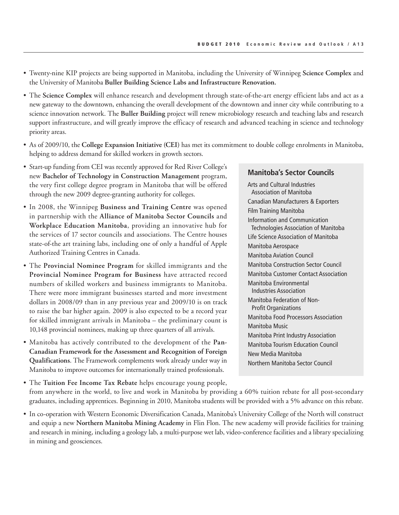- Twenty-nine KIP projects are being supported in Manitoba, including the University of Winnipeg **Science Complex** and the University of Manitoba **Buller Building Science Labs and Infrastructure Renovation.**
- The **Science Complex** will enhance research and development through state-of-the-art energy efficient labs and act as a new gateway to the downtown, enhancing the overall development of the downtown and inner city while contributing to a science innovation network. The **Buller Building** project will renew microbiology research and teaching labs and research support infrastructure, and will greatly improve the efficacy of research and advanced teaching in science and technology priority areas.
- As of 2009/10, the **College Expansion Initiative (CEI)** has met its commitment to double college enrolments in Manitoba, helping to address demand for skilled workers in growth sectors.
- Start-up funding from CEI was recently approved for Red River College's new **Bachelor of Technology in Construction Management** program, the very first college degree program in Manitoba that will be offered through the new 2009 degree-granting authority for colleges.
- In 2008, the Winnipeg **Business and Training Centre** was opened in partnership with the **Alliance of Manitoba Sector Councils** and **Workplace Education Manitoba**, providing an innovative hub for the services of 17 sector councils and associations. The Centre houses state-of-the art training labs, including one of only a handful of Apple Authorized Training Centres in Canada.
- The **Provincial Nominee Program** for skilled immigrants and the **Provincial Nominee Program for Business** have attracted record numbers of skilled workers and business immigrants to Manitoba. There were more immigrant businesses started and more investment dollars in 2008/09 than in any previous year and 2009/10 is on track to raise the bar higher again. 2009 is also expected to be a record year for skilled immigrant arrivals in Manitoba – the preliminary count is 10,148 provincial nominees, making up three quarters of all arrivals.
- Manitoba has actively contributed to the development of the **Pan-Canadian Framework for the Assessment and Recognition of Foreign Qualifications**. The Framework complements work already under way in Manitoba to improve outcomes for internationally trained professionals.

### **Manitoba's Sector Councils**

Arts and Cultural Industries Association of Manitoba Canadian Manufacturers & Exporters Film Training Manitoba Information and Communication Technologies Association of Manitoba Life Science Association of Manitoba Manitoba Aerospace Manitoba Aviation Council Manitoba Construction Sector Council Manitoba Customer Contact Association Manitoba Environmental Industries Association Manitoba Federation of Non-Profit Organizations Manitoba Food Processors Association Manitoba Music Manitoba Print Industry Association Manitoba Tourism Education Council New Media Manitoba Northern Manitoba Sector Council

• The **Tuition Fee Income Tax Rebate** helps encourage young people, from anywhere in the world, to live and work in Manitoba by providing a 60% tuition rebate for all post-secondary graduates, including apprentices. Beginning in 2010, Manitoba students will be provided with a 5% advance on this rebate.

• In co-operation with Western Economic Diversification Canada, Manitoba's University College of the North will construct and equip a new **Northern Manitoba Mining Academy** in Flin Flon. The new academy will provide facilities for training and research in mining, including a geology lab, a multi-purpose wet lab, video-conference facilities and a library specializing in mining and geosciences.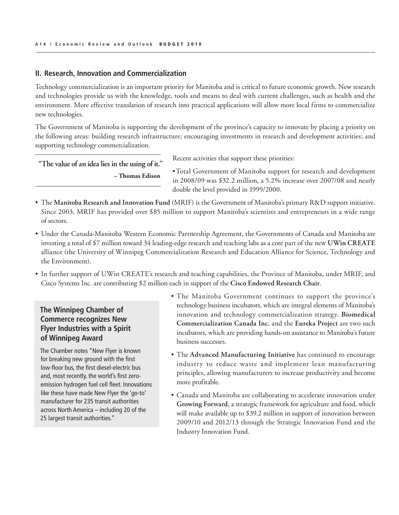#### **II. Research, Innovation and Commercialization**

Technology commercialization is an important priority for Manitoba and is critical to future economic growth. New research and technologies provide us with the knowledge, tools and means to deal with current challenges, such as health and the environment. More effective translation of research into practical applications will allow more local firms to commercialize new technologies.

The Government of Manitoba is supporting the development of the province's capacity to innovate by placing a priority on the following areas: building research infrastructure; encouraging investments in research and development activities; and supporting technology commercialization.

**"The value of an idea lies in the using of it."**  *–* **Thomas Edison**

Recent activities that support these priorities:

•Total Government of Manitoba support for research and development in 2008/09 was \$32.2 million, a 5.2% increase over 2007/08 and nearly double the level provided in 1999/2000.

- The **Manitoba Research and Innovation Fund** (MRIF) is the Government of Manitoba's primary R&D support initiative. Since 2003, MRIF has provided over \$85 million to support Manitoba's scientists and entrepreneurs in a wide range of sectors.
- Under the Canada-Manitoba Western Economic Partnership Agreement, the Governments of Canada and Manitoba are investing a total of \$7 million toward 34 leading-edge research and teaching labs as a core part of the new **UWin CREATE**  alliance (the University of Winnipeg Commercialization Research and Education Alliance for Science, Technology and the Environment).
- In further support of UWin CREATE's research and teaching capabilities, the Province of Manitoba, under MRIF, and Cisco Systems Inc. are contributing \$2 million each in support of the **Cisco Endowed Research Chair**.

### **The Winnipeg Chamber of Commerce recognizes New Flyer Industries with a Spirit of Winnipeg Award**

The Chamber notes "New Flyer is known for breaking new ground with the first low-floor bus, the first diesel-electric bus and, most recently, the world's first zeroemission hydrogen fuel cell fleet. Innovations like these have made New Flyer the 'go-to' manufacturer for 235 transit authorities across North America – including 20 of the 25 largest transit authorities."

- The Manitoba Government continues to support the province's technology business incubators, which are integral elements of Manitoba's innovation and technology commercialization strategy. **Biomedical Commercialization Canada Inc.** and the **Eureka Project** are two such incubators, which are providing hands-on assistance to Manitoba's future business successes.
- The **Advanced Manufacturing Initiative** has continued to encourage industry to reduce waste and implement lean manufacturing principles, allowing manufacturers to increase productivity and become more profitable.
- Canada and Manitoba are collaborating to accelerate innovation under **Growing Forward**, a strategic framework for agriculture and food, which will make available up to \$39.2 million in support of innovation between 2009/10 and 2012/13 through the Strategic Innovation Fund and the Industry Innovation Fund.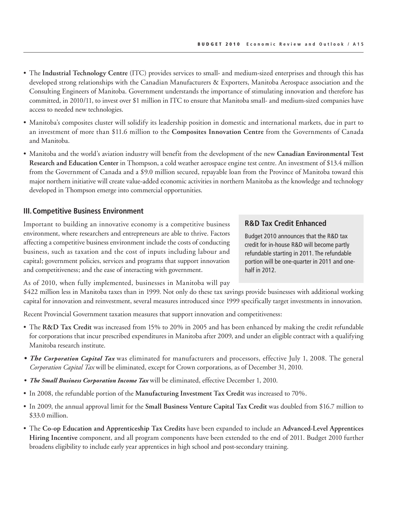- The **Industrial Technology Centre** (ITC) provides services to small- and medium-sized enterprises and through this has developed strong relationships with the Canadian Manufacturers & Exporters, Manitoba Aerospace association and the Consulting Engineers of Manitoba. Government understands the importance of stimulating innovation and therefore has committed, in 2010/11, to invest over \$1 million in ITC to ensure that Manitoba small- and medium-sized companies have access to needed new technologies.
- Manitoba's composites cluster will solidify its leadership position in domestic and international markets, due in part to an investment of more than \$11.6 million to the **Composites Innovation Centre** from the Governments of Canada and Manitoba.
- Manitoba and the world's aviation industry will benefit from the development of the new **Canadian Environmental Test Research and Education Center** in Thompson, a cold weather aerospace engine test centre. An investment of \$13.4 million from the Government of Canada and a \$9.0 million secured, repayable loan from the Province of Manitoba toward this major northern initiative will create value-added economic activities in northern Manitoba as the knowledge and technology developed in Thompson emerge into commercial opportunities.

#### **III.Competitive Business Environment**

Important to building an innovative economy is a competitive business environment, where researchers and entrepreneurs are able to thrive. Factors affecting a competitive business environment include the costs of conducting business, such as taxation and the cost of inputs including labour and capital; government policies, services and programs that support innovation and competitiveness; and the ease of interacting with government.

### **R&D Tax Credit Enhanced**

Budget 2010 announces that the R&D tax credit for in-house R&D will become partly refundable starting in 2011. The refundable portion will be one-quarter in 2011 and onehalf in 2012.

As of 2010, when fully implemented, businesses in Manitoba will pay

\$422 million less in Manitoba taxes than in 1999. Not only do these tax savings provide businesses with additional working capital for innovation and reinvestment, several measures introduced since 1999 specifically target investments in innovation.

Recent Provincial Government taxation measures that support innovation and competitiveness:

- The **R&D Tax Credit** was increased from 15% to 20% in 2005 and has been enhanced by making the credit refundable for corporations that incur prescribed expenditures in Manitoba after 2009, and under an eligible contract with a qualifying Manitoba research institute.
- *• The Corporation Capital Tax* was eliminated for manufacturers and processors, effective July 1, 2008. The general *Corporation Capital Tax* will be eliminated, except for Crown corporations, as of December 31, 2010.
- *• The Small Business Corporation Income Tax* will be eliminated, effective December 1, 2010.
- In 2008, the refundable portion of the **Manufacturing Investment Tax Credit** was increased to 70%.
- In 2009, the annual approval limit for the **Small Business Venture Capital Tax Credit** was doubled from \$16.7 million to \$33.0 million.
- The **Co-op Education and Apprenticeship Tax Credits** have been expanded to include an **Advanced-Level Apprentices Hiring Incentive** component, and all program components have been extended to the end of 2011. Budget 2010 further broadens eligibility to include early year apprentices in high school and post-secondary training.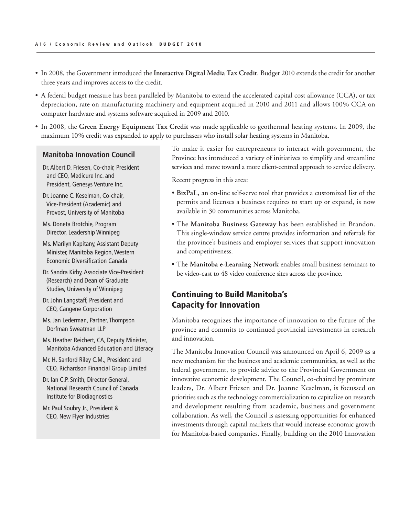- In 2008, the Government introduced the **Interactive Digital Media Tax Credit**. Budget 2010 extends the credit for another three years and improves access to the credit.
- A federal budget measure has been paralleled by Manitoba to extend the accelerated capital cost allowance (CCA), or tax depreciation, rate on manufacturing machinery and equipment acquired in 2010 and 2011 and allows 100% CCA on computer hardware and systems software acquired in 2009 and 2010.
- In 2008, the **Green Energy Equipment Tax Credit** was made applicable to geothermal heating systems. In 2009, the maximum 10% credit was expanded to apply to purchasers who install solar heating systems in Manitoba.

### **Manitoba Innovation Council**

Dr. Albert D. Friesen, Co-chair, President and CEO, Medicure Inc. and President, Genesys Venture Inc.

- Dr. Joanne C. Keselman, Co-chair, Vice-President (Academic) and Provost, University of Manitoba
- Ms. Doneta Brotchie, Program Director, Leadership Winnipeg
- Ms. Marilyn Kapitany, Assistant Deputy Minister, Manitoba Region,Western Economic Diversification Canada
- Dr. Sandra Kirby, Associate Vice-President (Research) and Dean of Graduate Studies, University of Winnipeg
- Dr. John Langstaff, President and CEO, Cangene Corporation
- Ms. Jan Lederman, Partner, Thompson Dorfman Sweatman LLP
- Ms. Heather Reichert, CA, Deputy Minister, Manitoba Advanced Education and Literacy
- Mr. H. Sanford Riley C.M., President and CEO, Richardson Financial Group Limited
- Dr. Ian C.P. Smith, Director General, National Research Council of Canada Institute for Biodiagnostics
- Mr. Paul Soubry Jr., President & CEO, New Flyer Industries

To make it easier for entrepreneurs to interact with government, the Province has introduced a variety of initiatives to simplify and streamline services and move toward a more client-centred approach to service delivery.

Recent progress in this area:

- **BizPaL**, an on-line self-serve tool that provides a customized list of the permits and licenses a business requires to start up or expand, is now available in 30 communities across Manitoba.
- The **Manitoba Business Gateway** has been established in Brandon. This single-window service centre provides information and referrals for the province's business and employer services that support innovation and competitiveness.
- The **Manitoba e-Learning Network** enables small business seminars to be video-cast to 48 video conference sites across the province.

### Continuing to Build Manitoba's Capacity for Innovation

Manitoba recognizes the importance of innovation to the future of the province and commits to continued provincial investments in research and innovation.

The Manitoba Innovation Council was announced on April 6, 2009 as a new mechanism for the business and academic communities, as well as the federal government, to provide advice to the Provincial Government on innovative economic development. The Council, co-chaired by prominent leaders, Dr. Albert Friesen and Dr. Joanne Keselman, is focussed on priorities such as the technology commercialization to capitalize on research and development resulting from academic, business and government collaboration. As well, the Council is assessing opportunities for enhanced investments through capital markets that would increase economic growth for Manitoba-based companies. Finally, building on the 2010 Innovation